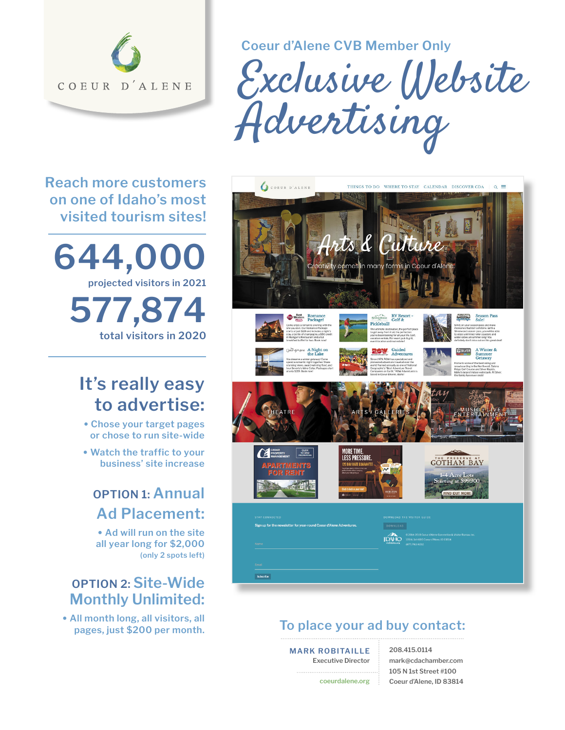

**Coeur d'Alene CVB Member Only**

Exclusive Website Advertising

**Reach more customers on one of Idaho's most visited tourism sites!** 



# **It's really easy to advertise:**

- **Chose your target pages or chose to run site-wide**
- **Watch the traffic to your business' site increase**

### **OPTION 1: Annual Ad Placement:**

**• Ad will run on the site all year long for \$2,000 (only 2 spots left)**

### **OPTION 2: Site-Wide Monthly Unlimited:**

**• All month long, all visitors, all** 



#### **To place your ad buy contact:**

**MARK ROBITAILLE Executive Director**

**coeurdalene.org**

**208.415.0114 mark@cdachamber.com 105 N 1st Street #100 Coeur d'Alene, ID 83814**